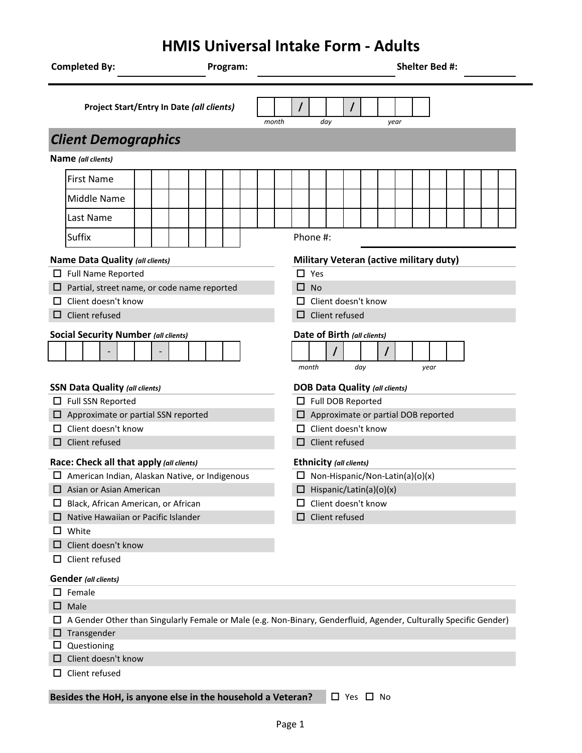## **HMIS Universal Intake Form - Adults**

| <b>Completed By:</b>                                        | Program: | Shelter Bed #:                                                                                                    |  |  |  |  |  |  |
|-------------------------------------------------------------|----------|-------------------------------------------------------------------------------------------------------------------|--|--|--|--|--|--|
| Project Start/Entry In Date (all clients)                   |          | $\prime$<br>$\prime$<br>month<br>dav<br>year                                                                      |  |  |  |  |  |  |
| <b>Client Demographics</b>                                  |          |                                                                                                                   |  |  |  |  |  |  |
| Name (all clients)                                          |          |                                                                                                                   |  |  |  |  |  |  |
| <b>First Name</b>                                           |          |                                                                                                                   |  |  |  |  |  |  |
|                                                             |          |                                                                                                                   |  |  |  |  |  |  |
| <b>Middle Name</b>                                          |          |                                                                                                                   |  |  |  |  |  |  |
| Last Name                                                   |          |                                                                                                                   |  |  |  |  |  |  |
| <b>Suffix</b>                                               |          | Phone #:                                                                                                          |  |  |  |  |  |  |
| Name Data Quality (all clients)                             |          | <b>Military Veteran (active military duty)</b>                                                                    |  |  |  |  |  |  |
| $\Box$ Full Name Reported                                   |          | $\square$ Yes                                                                                                     |  |  |  |  |  |  |
| $\Box$ Partial, street name, or code name reported          |          | $\Box$ No                                                                                                         |  |  |  |  |  |  |
| Client doesn't know                                         |          | Client doesn't know<br>$\mathsf{L}$                                                                               |  |  |  |  |  |  |
| Client refused                                              |          | $\Box$ Client refused                                                                                             |  |  |  |  |  |  |
| <b>Social Security Number (all clients)</b>                 |          | Date of Birth (all clients)                                                                                       |  |  |  |  |  |  |
|                                                             |          |                                                                                                                   |  |  |  |  |  |  |
|                                                             |          | month<br>day<br>year                                                                                              |  |  |  |  |  |  |
| <b>SSN Data Quality (all clients)</b>                       |          | <b>DOB Data Quality (all clients)</b>                                                                             |  |  |  |  |  |  |
| $\Box$ Full SSN Reported                                    |          | Full DOB Reported                                                                                                 |  |  |  |  |  |  |
| $\Box$ Approximate or partial SSN reported                  |          | $\Box$ Approximate or partial DOB reported                                                                        |  |  |  |  |  |  |
| Client doesn't know                                         |          | Client doesn't know                                                                                               |  |  |  |  |  |  |
| Client refused                                              |          | Client refused<br>□                                                                                               |  |  |  |  |  |  |
| Race: Check all that apply (all clients)                    |          | Ethnicity (all clients)                                                                                           |  |  |  |  |  |  |
| $\Box$ American Indian, Alaskan Native, or Indigenous       |          | $\Box$ Non-Hispanic/Non-Latin(a)(o)(x)                                                                            |  |  |  |  |  |  |
| $\Box$ Asian or Asian American                              |          | $\Box$ Hispanic/Latin(a)(o)(x)                                                                                    |  |  |  |  |  |  |
| Black, African American, or African                         |          | Client doesn't know                                                                                               |  |  |  |  |  |  |
| Native Hawaiian or Pacific Islander                         |          | Client refused                                                                                                    |  |  |  |  |  |  |
| White<br>ப                                                  |          |                                                                                                                   |  |  |  |  |  |  |
| Client doesn't know                                         |          |                                                                                                                   |  |  |  |  |  |  |
| Client refused<br>ப                                         |          |                                                                                                                   |  |  |  |  |  |  |
| <b>Gender</b> (all clients)                                 |          |                                                                                                                   |  |  |  |  |  |  |
| $\Box$ Female                                               |          |                                                                                                                   |  |  |  |  |  |  |
| $\Box$ Male                                                 |          |                                                                                                                   |  |  |  |  |  |  |
|                                                             |          | A Gender Other than Singularly Female or Male (e.g. Non-Binary, Genderfluid, Agender, Culturally Specific Gender) |  |  |  |  |  |  |
| $\Box$ Transgender                                          |          |                                                                                                                   |  |  |  |  |  |  |
| $\Box$ Questioning                                          |          |                                                                                                                   |  |  |  |  |  |  |
| Client doesn't know                                         |          |                                                                                                                   |  |  |  |  |  |  |
| Client refused<br>ப                                         |          |                                                                                                                   |  |  |  |  |  |  |
| Besides the HoH, is anyone else in the household a Veteran? |          | $\Box$ Yes $\Box$ No                                                                                              |  |  |  |  |  |  |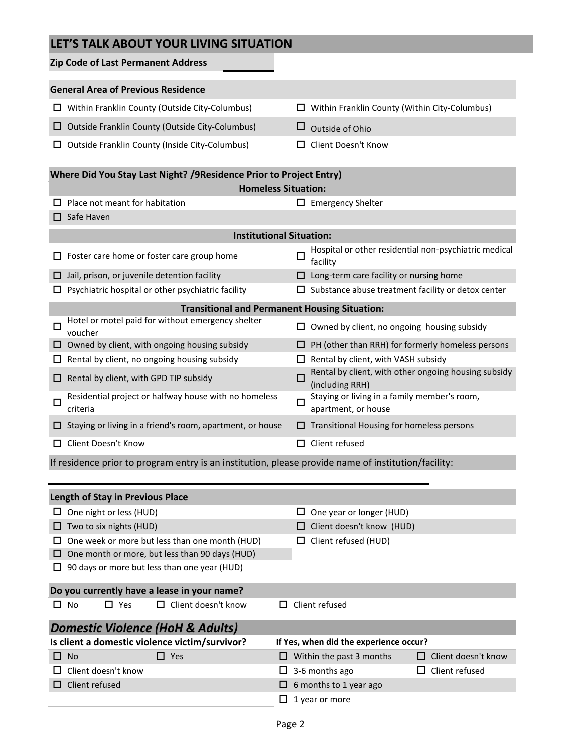### **LET'S TALK ABOUT YOUR LIVING SITUATION**

|                                                                                                    | Zip Code of Last Permanent Address                                                                  |        |                                                                         |                            |  |  |  |  |
|----------------------------------------------------------------------------------------------------|-----------------------------------------------------------------------------------------------------|--------|-------------------------------------------------------------------------|----------------------------|--|--|--|--|
|                                                                                                    |                                                                                                     |        |                                                                         |                            |  |  |  |  |
|                                                                                                    | <b>General Area of Previous Residence</b>                                                           |        |                                                                         |                            |  |  |  |  |
| ப                                                                                                  | Within Franklin County (Outside City-Columbus)                                                      |        | Within Franklin County (Within City-Columbus)                           |                            |  |  |  |  |
|                                                                                                    | $\Box$ Outside Franklin County (Outside City-Columbus)                                              | ப      | Outside of Ohio                                                         |                            |  |  |  |  |
|                                                                                                    | $\Box$ Outside Franklin County (Inside City-Columbus)                                               |        | <b>Client Doesn't Know</b>                                              |                            |  |  |  |  |
| Where Did You Stay Last Night? / 9 Residence Prior to Project Entry)<br><b>Homeless Situation:</b> |                                                                                                     |        |                                                                         |                            |  |  |  |  |
|                                                                                                    | Place not meant for habitation                                                                      |        | $\Box$ Emergency Shelter                                                |                            |  |  |  |  |
| □                                                                                                  | Safe Haven                                                                                          |        |                                                                         |                            |  |  |  |  |
|                                                                                                    | <b>Institutional Situation:</b>                                                                     |        |                                                                         |                            |  |  |  |  |
|                                                                                                    |                                                                                                     |        |                                                                         |                            |  |  |  |  |
|                                                                                                    | Foster care home or foster care group home                                                          | □      | Hospital or other residential non-psychiatric medical<br>facility       |                            |  |  |  |  |
|                                                                                                    | Jail, prison, or juvenile detention facility                                                        |        | Long-term care facility or nursing home                                 |                            |  |  |  |  |
|                                                                                                    | Psychiatric hospital or other psychiatric facility                                                  |        | Substance abuse treatment facility or detox center                      |                            |  |  |  |  |
|                                                                                                    | <b>Transitional and Permanent Housing Situation:</b>                                                |        |                                                                         |                            |  |  |  |  |
| □                                                                                                  | Hotel or motel paid for without emergency shelter<br>voucher                                        |        | Owned by client, no ongoing housing subsidy                             |                            |  |  |  |  |
|                                                                                                    | Owned by client, with ongoing housing subsidy                                                       |        | PH (other than RRH) for formerly homeless persons                       |                            |  |  |  |  |
|                                                                                                    | Rental by client, no ongoing housing subsidy                                                        |        | Rental by client, with VASH subsidy                                     |                            |  |  |  |  |
|                                                                                                    | $\Box$ Rental by client, with GPD TIP subsidy                                                       | $\Box$ | Rental by client, with other ongoing housing subsidy<br>(including RRH) |                            |  |  |  |  |
|                                                                                                    | Residential project or halfway house with no homeless                                               |        | Staying or living in a family member's room,<br>П                       |                            |  |  |  |  |
| □                                                                                                  | criteria                                                                                            |        | apartment, or house                                                     |                            |  |  |  |  |
|                                                                                                    | □ Staying or living in a friend's room, apartment, or house                                         |        | $\Box$ Transitional Housing for homeless persons                        |                            |  |  |  |  |
| ப                                                                                                  | Client Doesn't Know                                                                                 |        | $\Box$ Client refused                                                   |                            |  |  |  |  |
|                                                                                                    | If residence prior to program entry is an institution, please provide name of institution/facility: |        |                                                                         |                            |  |  |  |  |
|                                                                                                    |                                                                                                     |        |                                                                         |                            |  |  |  |  |
|                                                                                                    | <b>Length of Stay in Previous Place</b>                                                             |        |                                                                         |                            |  |  |  |  |
|                                                                                                    | $\Box$ One night or less (HUD)                                                                      | $\Box$ | One year or longer (HUD)                                                |                            |  |  |  |  |
|                                                                                                    | $\Box$ Two to six nights (HUD)                                                                      | ப      | Client doesn't know (HUD)                                               |                            |  |  |  |  |
| ப                                                                                                  | One week or more but less than one month (HUD)                                                      | ப      | Client refused (HUD)                                                    |                            |  |  |  |  |
|                                                                                                    | $\Box$ One month or more, but less than 90 days (HUD)                                               |        |                                                                         |                            |  |  |  |  |
| ப                                                                                                  | 90 days or more but less than one year (HUD)                                                        |        |                                                                         |                            |  |  |  |  |
| Do you currently have a lease in your name?                                                        |                                                                                                     |        |                                                                         |                            |  |  |  |  |
|                                                                                                    | Client doesn't know<br>□ No<br>$\square$ Yes                                                        |        | $\Box$ Client refused                                                   |                            |  |  |  |  |
|                                                                                                    | <b>Domestic Violence (HoH &amp; Adults)</b>                                                         |        |                                                                         |                            |  |  |  |  |
|                                                                                                    | Is client a domestic violence victim/survivor?                                                      |        | If Yes, when did the experience occur?                                  |                            |  |  |  |  |
|                                                                                                    | $\Box$ Yes<br>$\square$ No                                                                          |        | $\Box$ Within the past 3 months                                         | $\Box$ Client doesn't know |  |  |  |  |
|                                                                                                    | Client doesn't know                                                                                 |        | $\Box$ 3-6 months ago<br>$\Box$ Client refused                          |                            |  |  |  |  |
|                                                                                                    | Client refused                                                                                      |        | $\Box$ 6 months to 1 year ago                                           |                            |  |  |  |  |
|                                                                                                    |                                                                                                     |        | $\Box$ 1 year or more                                                   |                            |  |  |  |  |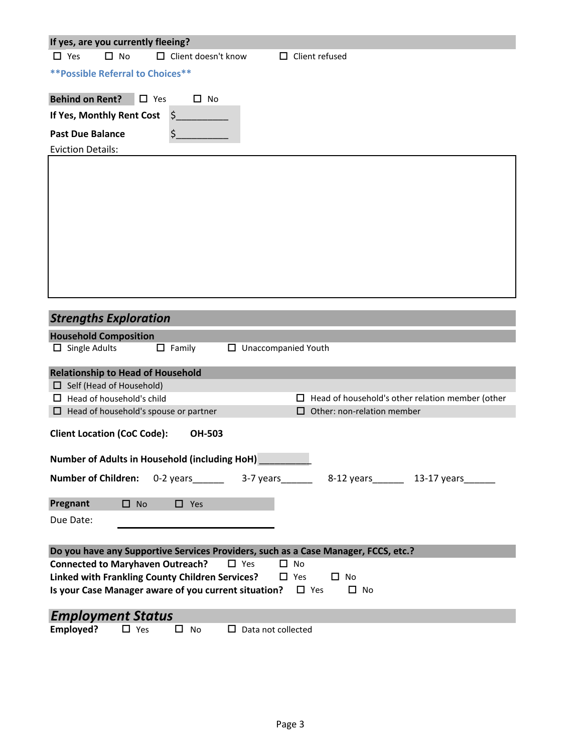| If yes, are you currently fleeing?                                                        |
|-------------------------------------------------------------------------------------------|
| $\Box$ No<br>$\Box$ Yes<br>$\Box$ Client doesn't know<br>$\Box$ Client refused            |
| <b>** Possible Referral to Choices**</b>                                                  |
| <b>Behind on Rent?</b><br>$\Box$ Yes<br>$\Box$ No                                         |
| $\zeta$<br>If Yes, Monthly Rent Cost                                                      |
|                                                                                           |
| \$<br><b>Past Due Balance</b><br><b>Eviction Details:</b>                                 |
|                                                                                           |
|                                                                                           |
|                                                                                           |
|                                                                                           |
|                                                                                           |
|                                                                                           |
|                                                                                           |
|                                                                                           |
|                                                                                           |
|                                                                                           |
| <b>Strengths Exploration</b>                                                              |
| <b>Household Composition</b>                                                              |
| $\Box$ Single Adults<br>$\Box$ Family<br>$\Box$ Unaccompanied Youth                       |
| <b>Relationship to Head of Household</b>                                                  |
| $\Box$ Self (Head of Household)                                                           |
| $\Box$ Head of household's child<br>Head of household's other relation member (other<br>ш |
| Other: non-relation member<br>Head of household's spouse or partner                       |
| <b>Client Location (CoC Code):</b><br><b>OH-503</b>                                       |
|                                                                                           |
| Number of Adults in Household (including HoH) _________                                   |
| <b>Number of Children:</b><br>0-2 years 3-7 years<br>8-12 years 13-17 years               |
| Pregnant<br>$\square$ No<br>$\Box$ Yes                                                    |
| Due Date:                                                                                 |
|                                                                                           |
| Do you have any Supportive Services Providers, such as a Case Manager, FCCS, etc.?        |
| <b>Connected to Maryhaven Outreach?</b><br>$\Box$ Yes<br>$\Box$ No                        |
| Linked with Frankling County Children Services?<br>$\Box$ Yes<br>$\Box$ No                |
| Is your Case Manager aware of you current situation?<br>$\Box$ Yes<br>$\Box$ No           |
| <b>Employment Status</b>                                                                  |
| Employed?<br>$\Box$ Yes<br>$\Box$ Data not collected<br>$\square$ No                      |
|                                                                                           |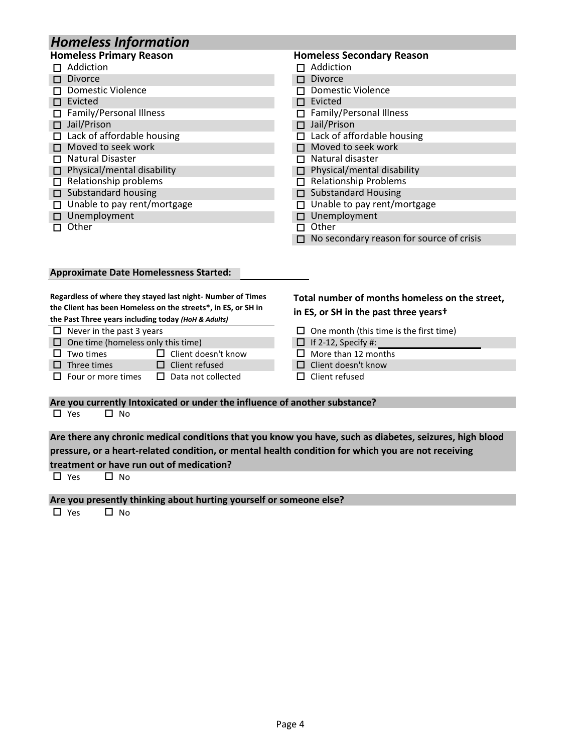## *Homeless Information*

| <b>Homeless Primary Reason</b>     | <b>Homeless Secondary Reason</b>         |  |  |
|------------------------------------|------------------------------------------|--|--|
| $\Box$ Addiction                   | $\Box$ Addiction                         |  |  |
| $\Box$ Divorce                     | <b>Divorce</b>                           |  |  |
| □ Domestic Violence                | Domestic Violence                        |  |  |
| $\Box$ Evicted                     | Evicted                                  |  |  |
| $\Box$ Family/Personal Illness     | <b>Family/Personal Illness</b>           |  |  |
| $\Box$ Jail/Prison                 | $\Box$ Jail/Prison                       |  |  |
| $\Box$ Lack of affordable housing  | Lack of affordable housing               |  |  |
| $\Box$ Moved to seek work          | $\Box$ Moved to seek work                |  |  |
| $\Box$ Natural Disaster            | Natural disaster                         |  |  |
| $\Box$ Physical/mental disability  | $\Box$ Physical/mental disability        |  |  |
| Relationship problems<br>П.        | <b>Relationship Problems</b><br>п        |  |  |
| $\Box$ Substandard housing         | $\Box$ Substandard Housing               |  |  |
| $\Box$ Unable to pay rent/mortgage | Unable to pay rent/mortgage              |  |  |
| $\Box$ Unemployment                | $\Box$ Unemployment                      |  |  |
| Other<br>п                         | Other                                    |  |  |
|                                    | No secondary reason for source of crisis |  |  |

#### **Approximate Date Homelessness Started:**

|                                                                                                                                                                                                               | the Past Three years including today (HoH & Adults)                        | Regardless of where they stayed last night-Number of Times<br>the Client has been Homeless on the streets*, in ES, or SH in | Total number of months homeless on the street,<br>in ES, or SH in the past three yearst |  |  |  |  |  |  |
|---------------------------------------------------------------------------------------------------------------------------------------------------------------------------------------------------------------|----------------------------------------------------------------------------|-----------------------------------------------------------------------------------------------------------------------------|-----------------------------------------------------------------------------------------|--|--|--|--|--|--|
|                                                                                                                                                                                                               | $\Box$ Never in the past 3 years                                           |                                                                                                                             | One month (this time is the first time)                                                 |  |  |  |  |  |  |
|                                                                                                                                                                                                               | $\Box$ One time (homeless only this time)                                  |                                                                                                                             | If 2-12, Specify #:<br>ப                                                                |  |  |  |  |  |  |
| $\mathbf{L}$                                                                                                                                                                                                  | Two times                                                                  | Client doesn't know<br>$\mathsf{L}$                                                                                         | More than 12 months                                                                     |  |  |  |  |  |  |
|                                                                                                                                                                                                               | $\Box$ Three times                                                         | $\Box$ Client refused                                                                                                       | Client doesn't know                                                                     |  |  |  |  |  |  |
|                                                                                                                                                                                                               | $\Box$ Four or more times                                                  | $\Box$ Data not collected                                                                                                   | Client refused                                                                          |  |  |  |  |  |  |
|                                                                                                                                                                                                               | Are you currently Intoxicated or under the influence of another substance? |                                                                                                                             |                                                                                         |  |  |  |  |  |  |
|                                                                                                                                                                                                               | $\Box$ Yes<br>No                                                           |                                                                                                                             |                                                                                         |  |  |  |  |  |  |
| Are there any chronic medical conditions that you know you have, such as diabetes, seizures, high blood<br>pressure, or a heart-related condition, or mental health condition for which you are not receiving |                                                                            |                                                                                                                             |                                                                                         |  |  |  |  |  |  |

**treatment or have run out of medication?**

 $\Box$  Yes  $\Box$  No

**Are you presently thinking about hurting yourself or someone else?**<br>□ Yes □ No

 $\Box$  Yes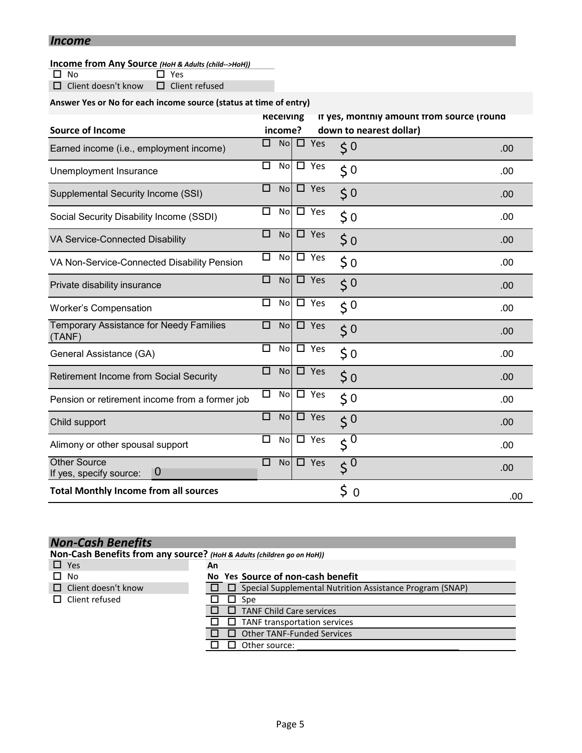### *Income*

# **Income from Any Source** (*HoH & Adults (child-->HoH)*)<br>□ No □ Yes

 $\overline{\Box}$  Yes

□ Client doesn't know □ Client refused

### **Answer Yes or No for each income source (status at time of entry)**

| <b>Source of Income</b>                                    | <b>Kecelving</b><br>income? |               | It yes, monthly amount from source (round<br>down to nearest dollar) |      |
|------------------------------------------------------------|-----------------------------|---------------|----------------------------------------------------------------------|------|
| Earned income (i.e., employment income)                    | □                           | $No \Box Yes$ | $\zeta$ <sup>0</sup>                                                 | .00  |
| Unemployment Insurance                                     | □<br>No                     | $\square$ Yes | $\zeta$ <sup>0</sup>                                                 | .00  |
| Supplemental Security Income (SSI)                         | □<br><b>No</b>              | $\Box$ Yes    | $\zeta$ <sup>0</sup>                                                 | .00  |
| Social Security Disability Income (SSDI)                   | □<br><b>No</b>              | $\square$ Yes | \$0                                                                  | .00. |
| VA Service-Connected Disability                            | □<br><b>No</b>              | $\Box$ Yes    | $\frac{1}{2}$ 0                                                      | .00  |
| VA Non-Service-Connected Disability Pension                | $\Box$<br>No                | $\square$ Yes | $\zeta_0$                                                            | .00  |
| Private disability insurance                               | □<br>No                     | $\square$ Yes | 50                                                                   | .00  |
| <b>Worker's Compensation</b>                               | □<br>No                     | $\square$ Yes | $\zeta$ <sup>0</sup>                                                 | .00  |
| <b>Temporary Assistance for Needy Families</b><br>(TANF)   | □<br><b>No</b>              | $\square$ Yes | 50                                                                   | .00  |
| General Assistance (GA)                                    | $\Box$<br>No                | $\square$ Yes | \$0                                                                  | .00. |
| Retirement Income from Social Security                     | □<br>No                     | $\square$ Yes | $\frac{1}{2}$ 0                                                      | .00  |
| Pension or retirement income from a former job             | $\Box$<br>No                | $\square$ Yes | $\zeta$ 0                                                            | .00  |
| Child support                                              | □<br>No                     | $\square$ Yes | $\zeta^0$                                                            | .00  |
| Alimony or other spousal support                           | □<br>No                     | $\square$ Yes | $\zeta^0$                                                            | .00  |
| <b>Other Source</b><br>$\bf{0}$<br>If yes, specify source: | $\Box$<br><b>No</b>         | $\square$ Yes | $\zeta^0$                                                            | .00  |
| <b>Total Monthly Income from all sources</b>               |                             |               | \$<br>$\Omega$                                                       | .00  |

| <b>Non-Cash Benefits</b>                                               |    |                                                                 |  |  |  |
|------------------------------------------------------------------------|----|-----------------------------------------------------------------|--|--|--|
| Non-Cash Benefits from any source? (HoH & Adults (children go on HoH)) |    |                                                                 |  |  |  |
| $\Box$ Yes                                                             | An |                                                                 |  |  |  |
| No                                                                     |    | No Yes Source of non-cash benefit                               |  |  |  |
| $\Box$ Client doesn't know                                             |    | $\Box$ Special Supplemental Nutrition Assistance Program (SNAP) |  |  |  |
| Client refused<br>Spe<br>ப                                             |    |                                                                 |  |  |  |
|                                                                        |    | <b>TANF Child Care services</b>                                 |  |  |  |
|                                                                        |    | TANF transportation services<br>l I                             |  |  |  |
|                                                                        |    | <b>Other TANF-Funded Services</b>                               |  |  |  |
|                                                                        |    | Other source:                                                   |  |  |  |